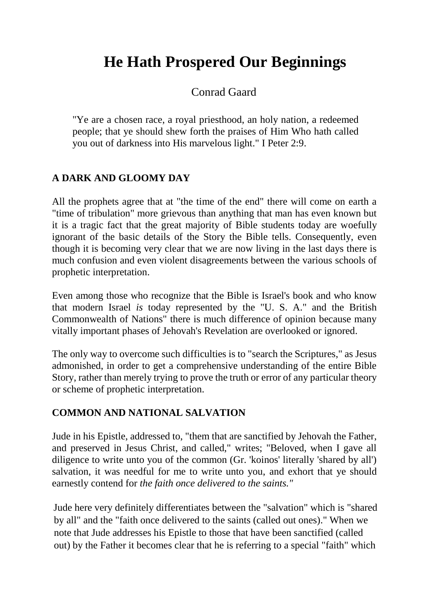# **He Hath Prospered Our Beginnings**

Conrad Gaard

"Ye are a chosen race, a royal priesthood, an holy nation, a redeemed people; that ye should shew forth the praises of Him Who hath called you out of darkness into His marvelous light." I Peter 2:9.

### **A DARK AND GLOOMY DAY**

All the prophets agree that at "the time of the end" there will come on earth a "time of tribulation" more grievous than anything that man has even known but it is a tragic fact that the great majority of Bible students today are woefully ignorant of the basic details of the Story the Bible tells. Consequently, even though it is becoming very clear that we are now living in the last days there is much confusion and even violent disagreements between the various schools of prophetic interpretation.

Even among those who recognize that the Bible is Israel's book and who know that modern Israel *is* today represented by the "U. S. A." and the British Commonwealth of Nations" there is much difference of opinion because many vitally important phases of Jehovah's Revelation are overlooked or ignored.

The only way to overcome such difficulties is to "search the Scriptures," as Jesus admonished, in order to get a comprehensive understanding of the entire Bible Story, rather than merely trying to prove the truth or error of any particular theory or scheme of prophetic interpretation.

#### **COMMON AND NATIONAL SALVATION**

Jude in his Epistle, addressed to, "them that are sanctified by Jehovah the Father, and preserved in Jesus Christ, and called," writes; "Beloved, when I gave all diligence to write unto you of the common (Gr. 'koinos' literally 'shared by all') salvation, it was needful for me to write unto you, and exhort that ye should earnestly contend for *the faith once delivered to the saints."* 

Jude here very definitely differentiates between the "salvation" which is "shared by all" and the "faith once delivered to the saints (called out ones)." When we note that Jude addresses his Epistle to those that have been sanctified (called out) by the Father it becomes clear that he is referring to a special "faith" which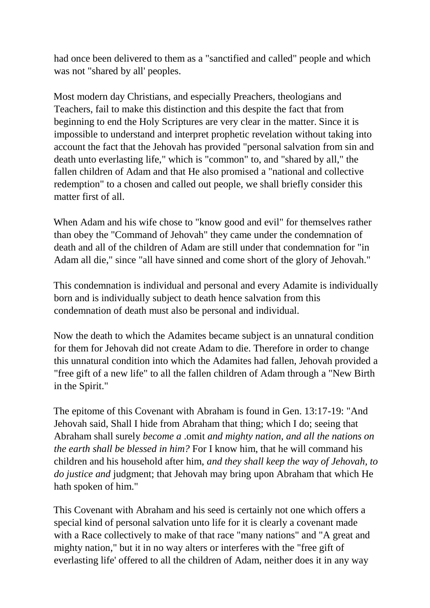had once been delivered to them as a "sanctified and called" people and which was not "shared by all' peoples.

Most modern day Christians, and especially Preachers, theologians and Teachers, fail to make this distinction and this despite the fact that from beginning to end the Holy Scriptures are very clear in the matter. Since it is impossible to understand and interpret prophetic revelation without taking into account the fact that the Jehovah has provided "personal salvation from sin and death unto everlasting life," which is "common" to, and "shared by all," the fallen children of Adam and that He also promised a "national and collective redemption" to a chosen and called out people, we shall briefly consider this matter first of all

When Adam and his wife chose to "know good and evil" for themselves rather than obey the "Command of Jehovah" they came under the condemnation of death and all of the children of Adam are still under that condemnation for "in Adam all die," since "all have sinned and come short of the glory of Jehovah."

This condemnation is individual and personal and every Adamite is individually born and is individually subject to death hence salvation from this condemnation of death must also be personal and individual.

Now the death to which the Adamites became subject is an unnatural condition for them for Jehovah did not create Adam to die. Therefore in order to change this unnatural condition into which the Adamites had fallen, Jehovah provided a "free gift of a new life" to all the fallen children of Adam through a "New Birth in the Spirit."

The epitome of this Covenant with Abraham is found in Gen. 13:17-19: "And Jehovah said, Shall I hide from Abraham that thing; which I do; seeing that Abraham shall surely *become a* .omit *and mighty nation, and all the nations on the earth shall be blessed in him?* For I know him, that he will command his children and his household after him, *and they shall keep the way of Jehovah, to do justice and* judgment; that Jehovah may bring upon Abraham that which He hath spoken of him."

This Covenant with Abraham and his seed is certainly not one which offers a special kind of personal salvation unto life for it is clearly a covenant made with a Race collectively to make of that race "many nations" and "A great and mighty nation," but it in no way alters or interferes with the "free gift of everlasting life' offered to all the children of Adam, neither does it in any way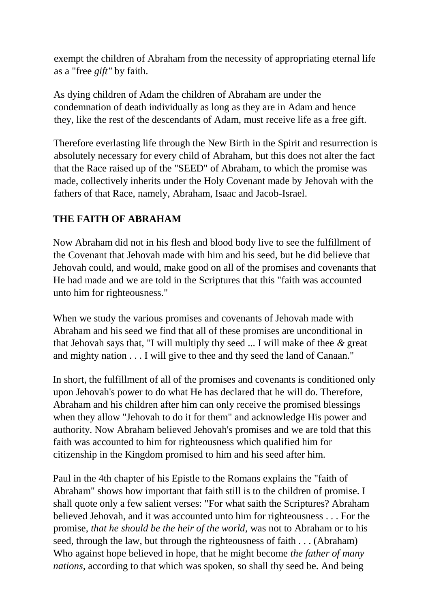exempt the children of Abraham from the necessity of appropriating eternal life as a "free *gift"* by faith.

As dying children of Adam the children of Abraham are under the condemnation of death individually as long as they are in Adam and hence they, like the rest of the descendants of Adam, must receive life as a free gift.

Therefore everlasting life through the New Birth in the Spirit and resurrection is absolutely necessary for every child of Abraham, but this does not alter the fact that the Race raised up of the "SEED" of Abraham, to which the promise was made, collectively inherits under the Holy Covenant made by Jehovah with the fathers of that Race, namely, Abraham, Isaac and Jacob-Israel.

# **THE FAITH OF ABRAHAM**

Now Abraham did not in his flesh and blood body live to see the fulfillment of the Covenant that Jehovah made with him and his seed, but he did believe that Jehovah could, and would, make good on all of the promises and covenants that He had made and we are told in the Scriptures that this "faith was accounted unto him for righteousness."

When we study the various promises and covenants of Jehovah made with Abraham and his seed we find that all of these promises are unconditional in that Jehovah says that, "I will multiply thy seed ... I will make of thee *&* great and mighty nation . . . I will give to thee and thy seed the land of Canaan."

In short, the fulfillment of all of the promises and covenants is conditioned only upon Jehovah's power to do what He has declared that he will do. Therefore, Abraham and his children after him can only receive the promised blessings when they allow "Jehovah to do it for them" and acknowledge His power and authority. Now Abraham believed Jehovah's promises and we are told that this faith was accounted to him for righteousness which qualified him for citizenship in the Kingdom promised to him and his seed after him.

Paul in the 4th chapter of his Epistle to the Romans explains the "faith of Abraham" shows how important that faith still is to the children of promise. I shall quote only a few salient verses: "For what saith the Scriptures? Abraham believed Jehovah, and it was accounted unto him for righteousness . . . For the promise, *that he should be the heir of the world,* was not to Abraham or to his seed, through the law, but through the righteousness of faith . . . (Abraham) Who against hope believed in hope, that he might become *the father of many nations,* according to that which was spoken, so shall thy seed be. And being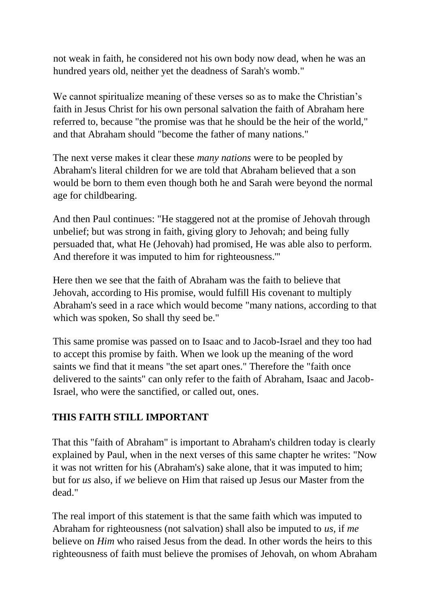not weak in faith, he considered not his own body now dead, when he was an hundred years old, neither yet the deadness of Sarah's womb."

We cannot spiritualize meaning of these verses so as to make the Christian's faith in Jesus Christ for his own personal salvation the faith of Abraham here referred to, because "the promise was that he should be the heir of the world," and that Abraham should "become the father of many nations."

The next verse makes it clear these *many nations* were to be peopled by Abraham's literal children for we are told that Abraham believed that a son would be born to them even though both he and Sarah were beyond the normal age for childbearing.

And then Paul continues: "He staggered not at the promise of Jehovah through unbelief; but was strong in faith, giving glory to Jehovah; and being fully persuaded that, what He (Jehovah) had promised, He was able also to perform. And therefore it was imputed to him for righteousness.'"

Here then we see that the faith of Abraham was the faith to believe that Jehovah, according to His promise, would fulfill His covenant to multiply Abraham's seed in a race which would become "many nations, according to that which was spoken, So shall thy seed be."

This same promise was passed on to Isaac and to Jacob-Israel and they too had to accept this promise by faith. When we look up the meaning of the word saints we find that it means "the set apart ones." Therefore the "faith once delivered to the saints" can only refer to the faith of Abraham, Isaac and Jacob-Israel, who were the sanctified, or called out, ones.

#### **THIS FAITH STILL IMPORTANT**

That this "faith of Abraham" is important to Abraham's children today is clearly explained by Paul, when in the next verses of this same chapter he writes: "Now it was not written for his (Abraham's) sake alone, that it was imputed to him; but for *us* also, if *we* believe on Him that raised up Jesus our Master from the dead."

The real import of this statement is that the same faith which was imputed to Abraham for righteousness (not salvation) shall also be imputed to *us,* if *me*  believe on *Him* who raised Jesus from the dead. In other words the heirs to this righteousness of faith must believe the promises of Jehovah, on whom Abraham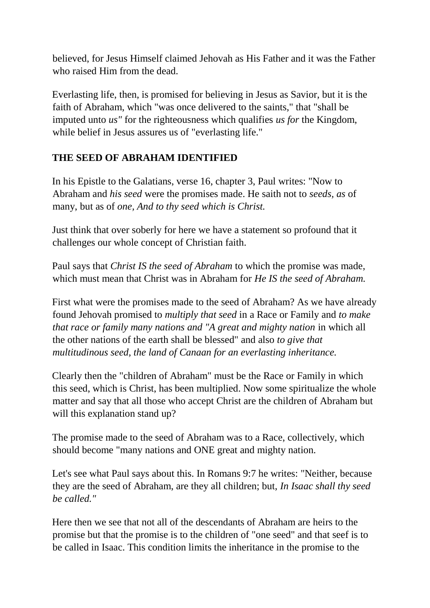believed, for Jesus Himself claimed Jehovah as His Father and it was the Father who raised Him from the dead.

Everlasting life, then, is promised for believing in Jesus as Savior, but it is the faith of Abraham, which "was once delivered to the saints," that "shall be imputed unto *us"* for the righteousness which qualifies *us for* the Kingdom, while belief in Jesus assures us of "everlasting life."

### **THE SEED OF ABRAHAM IDENTIFIED**

In his Epistle to the Galatians, verse 16, chapter 3, Paul writes: "Now to Abraham and *his seed* were the promises made. He saith not to *seeds, as* of many, but as of *one, And to thy seed which is Christ.*

Just think that over soberly for here we have a statement so profound that it challenges our whole concept of Christian faith.

Paul says that *Christ IS the seed of Abraham* to which the promise was made, which must mean that Christ was in Abraham for *He IS the seed of Abraham.*

First what were the promises made to the seed of Abraham? As we have already found Jehovah promised to *multiply that seed* in a Race or Family and *to make that race or family many nations and "A great and mighty nation in which all* the other nations of the earth shall be blessed" and also *to give that multitudinous seed, the land of Canaan for an everlasting inheritance.*

Clearly then the "children of Abraham" must be the Race or Family in which this seed, which is Christ, has been multiplied. Now some spiritualize the whole matter and say that all those who accept Christ are the children of Abraham but will this explanation stand up?

The promise made to the seed of Abraham was to a Race, collectively, which should become "many nations and ONE great and mighty nation.

Let's see what Paul says about this. In Romans 9:7 he writes: "Neither, because they are the seed of Abraham, are they all children; but, *In Isaac shall thy seed be called."*

Here then we see that not all of the descendants of Abraham are heirs to the promise but that the promise is to the children of "one seed" and that seef is to be called in Isaac. This condition limits the inheritance in the promise to the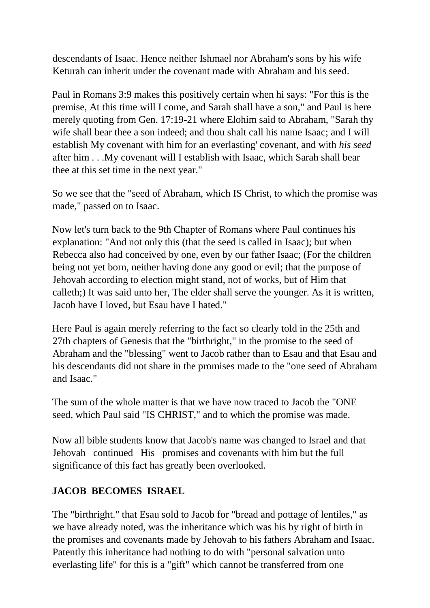descendants of Isaac. Hence neither Ishmael nor Abraham's sons by his wife Keturah can inherit under the covenant made with Abraham and his seed.

Paul in Romans 3:9 makes this positively certain when hi says: "For this is the premise, At this time will I come, and Sarah shall have a son," and Paul is here merely quoting from Gen. 17:19-21 where Elohim said to Abraham, "Sarah thy wife shall bear thee a son indeed; and thou shalt call his name Isaac; and I will establish My covenant with him for an everlasting' covenant, and with *his seed*  after him . . .My covenant will I establish with Isaac, which Sarah shall bear thee at this set time in the next year."

So we see that the "seed of Abraham, which IS Christ, to which the promise was made," passed on to Isaac.

Now let's turn back to the 9th Chapter of Romans where Paul continues his explanation: "And not only this (that the seed is called in Isaac); but when Rebecca also had conceived by one, even by our father Isaac; (For the children being not yet born, neither having done any good or evil; that the purpose of Jehovah according to election might stand, not of works, but of Him that calleth;) It was said unto her, The elder shall serve the younger. As it is written, Jacob have I loved, but Esau have I hated."

Here Paul is again merely referring to the fact so clearly told in the 25th and 27th chapters of Genesis that the "birthright," in the promise to the seed of Abraham and the "blessing" went to Jacob rather than to Esau and that Esau and his descendants did not share in the promises made to the "one seed of Abraham and Isaac."

The sum of the whole matter is that we have now traced to Jacob the "ONE seed, which Paul said "IS CHRIST," and to which the promise was made.

Now all bible students know that Jacob's name was changed to Israel and that Jehovah continued His promises and covenants with him but the full significance of this fact has greatly been overlooked.

# **JACOB BECOMES ISRAEL**

The "birthright." that Esau sold to Jacob for "bread and pottage of lentiles," as we have already noted, was the inheritance which was his by right of birth in the promises and covenants made by Jehovah to his fathers Abraham and Isaac. Patently this inheritance had nothing to do with "personal salvation unto everlasting life" for this is a "gift" which cannot be transferred from one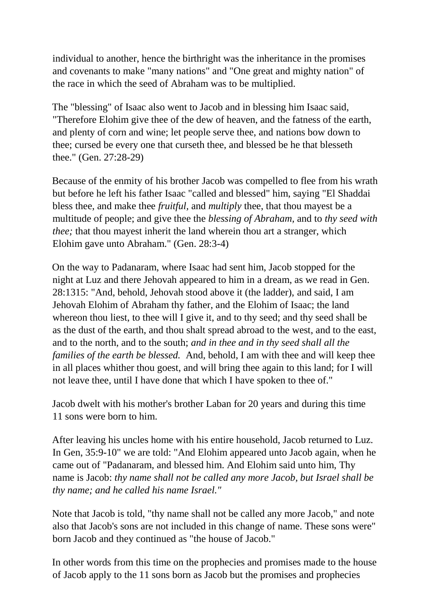individual to another, hence the birthright was the inheritance in the promises and covenants to make "many nations" and "One great and mighty nation" of the race in which the seed of Abraham was to be multiplied.

The "blessing" of Isaac also went to Jacob and in blessing him Isaac said, "Therefore Elohim give thee of the dew of heaven, and the fatness of the earth, and plenty of corn and wine; let people serve thee, and nations bow down to thee; cursed be every one that curseth thee, and blessed be he that blesseth thee." (Gen. 27:28-29)

Because of the enmity of his brother Jacob was compelled to flee from his wrath but before he left his father Isaac "called and blessed" him, saying "El Shaddai bless thee, and make thee *fruitful,* and *multiply* thee, that thou mayest be a multitude of people; and give thee the *blessing of Abraham,* and to *thy seed with thee;* that thou may est inherit the land wherein thou art a stranger, which Elohim gave unto Abraham." (Gen. 28:3-4)

On the way to Padanaram, where Isaac had sent him, Jacob stopped for the night at Luz and there Jehovah appeared to him in a dream, as we read in Gen. 28:1315: "And, behold, Jehovah stood above it (the ladder), and said, I am Jehovah Elohim of Abraham thy father, and the Elohim of Isaac; the land whereon thou liest, to thee will I give it, and to thy seed; and thy seed shall be as the dust of the earth, and thou shalt spread abroad to the west, and to the east, and to the north, and to the south; *and in thee and in thy seed shall all the families of the earth be blessed.* And, behold, I am with thee and will keep thee in all places whither thou goest, and will bring thee again to this land; for I will not leave thee, until I have done that which I have spoken to thee of."

Jacob dwelt with his mother's brother Laban for 20 years and during this time 11 sons were born to him.

After leaving his uncles home with his entire household, Jacob returned to Luz. In Gen, 35:9-10" we are told: "And Elohim appeared unto Jacob again, when he came out of "Padanaram, and blessed him. And Elohim said unto him, Thy name is Jacob: *thy name shall not be called any more Jacob, but Israel shall be thy name; and he called his name Israel."*

Note that Jacob is told, "thy name shall not be called any more Jacob," and note also that Jacob's sons are not included in this change of name. These sons were" born Jacob and they continued as "the house of Jacob."

In other words from this time on the prophecies and promises made to the house of Jacob apply to the 11 sons born as Jacob but the promises and prophecies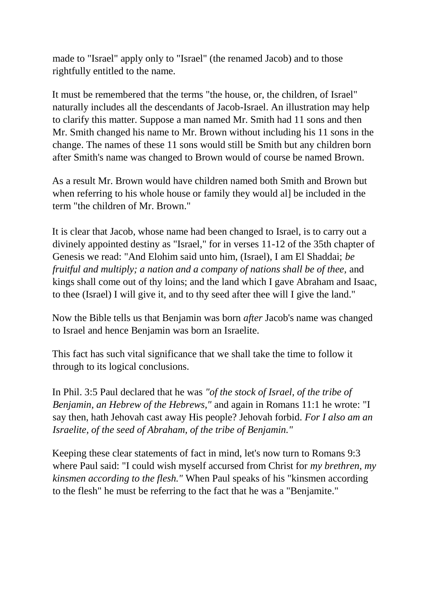made to "Israel" apply only to "Israel" (the renamed Jacob) and to those rightfully entitled to the name.

It must be remembered that the terms "the house, or, the children, of Israel" naturally includes all the descendants of Jacob-Israel. An illustration may help to clarify this matter. Suppose a man named Mr. Smith had 11 sons and then Mr. Smith changed his name to Mr. Brown without including his 11 sons in the change. The names of these 11 sons would still be Smith but any children born after Smith's name was changed to Brown would of course be named Brown.

As a result Mr. Brown would have children named both Smith and Brown but when referring to his whole house or family they would al] be included in the term "the children of Mr. Brown."

It is clear that Jacob, whose name had been changed to Israel, is to carry out a divinely appointed destiny as "Israel," for in verses 11-12 of the 35th chapter of Genesis we read: "And Elohim said unto him, (Israel), I am El Shaddai; *be fruitful and multiply; a nation and a company of nations shall be of thee,* and kings shall come out of thy loins; and the land which I gave Abraham and Isaac, to thee (Israel) I will give it, and to thy seed after thee will I give the land."

Now the Bible tells us that Benjamin was born *after* Jacob's name was changed to Israel and hence Benjamin was born an Israelite.

This fact has such vital significance that we shall take the time to follow it through to its logical conclusions.

In Phil. 3:5 Paul declared that he was *"of the stock of Israel, of the tribe of Benjamin, an Hebrew of the Hebrews,"* and again in Romans 11:1 he wrote: "I say then, hath Jehovah cast away His people? Jehovah forbid. *For I also am an Israelite, of the seed of Abraham, of the tribe of Benjamin."*

Keeping these clear statements of fact in mind, let's now turn to Romans 9:3 where Paul said: "I could wish myself accursed from Christ for *my brethren, my kinsmen according to the flesh."* When Paul speaks of his "kinsmen according to the flesh" he must be referring to the fact that he was a "Benjamite."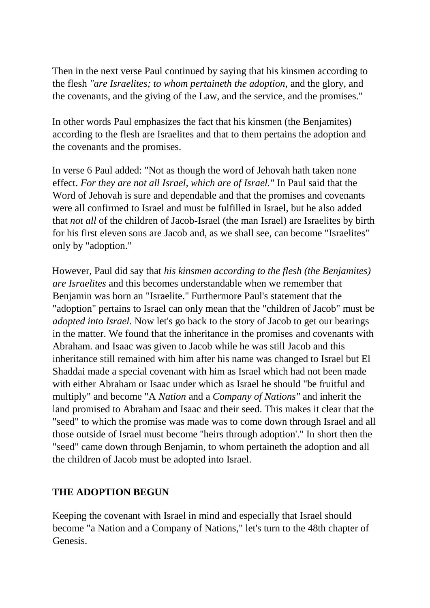Then in the next verse Paul continued by saying that his kinsmen according to the flesh *"are Israelites; to whom pertaineth the adoption,* and the glory, and the covenants, and the giving of the Law, and the service, and the promises."

In other words Paul emphasizes the fact that his kinsmen (the Benjamites) according to the flesh are Israelites and that to them pertains the adoption and the covenants and the promises.

In verse 6 Paul added: "Not as though the word of Jehovah hath taken none effect. *For they are not all Israel, which are of Israel."* In Paul said that the Word of Jehovah is sure and dependable and that the promises and covenants were all confirmed to Israel and must be fulfilled in Israel, but he also added that *not all* of the children of Jacob-Israel (the man Israel) are Israelites by birth for his first eleven sons are Jacob and, as we shall see, can become "Israelites" only by "adoption."

However, Paul did say that *his kinsmen according to the flesh (the Benjamites) are Israelites* and this becomes understandable when we remember that Benjamin was born an "Israelite." Furthermore Paul's statement that the "adoption" pertains to Israel can only mean that the "children of Jacob" must be *adopted into Israel.* Now let's go back to the story of Jacob to get our bearings in the matter. We found that the inheritance in the promises and covenants with Abraham. and Isaac was given to Jacob while he was still Jacob and this inheritance still remained with him after his name was changed to Israel but El Shaddai made a special covenant with him as Israel which had not been made with either Abraham or Isaac under which as Israel he should "be fruitful and multiply" and become "A *Nation* and a *Company of Nations"* and inherit the land promised to Abraham and Isaac and their seed. This makes it clear that the "seed" to which the promise was made was to come down through Israel and all those outside of Israel must become ''heirs through adoption'." In short then the "seed" came down through Benjamin, to whom pertaineth the adoption and all the children of Jacob must be adopted into Israel.

#### **THE ADOPTION BEGUN**

Keeping the covenant with Israel in mind and especially that Israel should become "a Nation and a Company of Nations," let's turn to the 48th chapter of Genesis.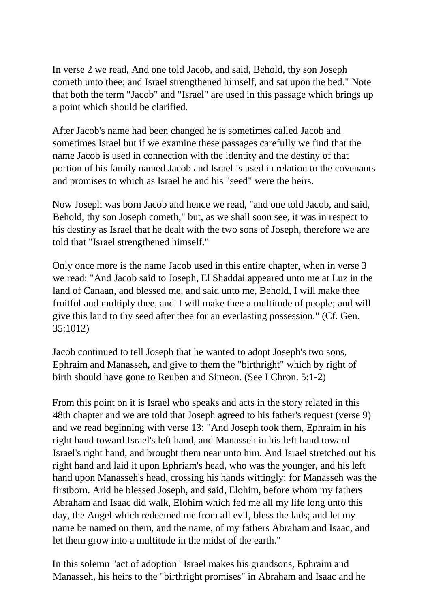In verse 2 we read, And one told Jacob, and said, Behold, thy son Joseph cometh unto thee; and Israel strengthened himself, and sat upon the bed." Note that both the term "Jacob" and "Israel" are used in this passage which brings up a point which should be clarified.

After Jacob's name had been changed he is sometimes called Jacob and sometimes Israel but if we examine these passages carefully we find that the name Jacob is used in connection with the identity and the destiny of that portion of his family named Jacob and Israel is used in relation to the covenants and promises to which as Israel he and his "seed" were the heirs.

Now Joseph was born Jacob and hence we read, "and one told Jacob, and said, Behold, thy son Joseph cometh," but, as we shall soon see, it was in respect to his destiny as Israel that he dealt with the two sons of Joseph, therefore we are told that "Israel strengthened himself."

Only once more is the name Jacob used in this entire chapter, when in verse 3 we read: "And Jacob said to Joseph, El Shaddai appeared unto me at Luz in the land of Canaan, and blessed me, and said unto me, Behold, I will make thee fruitful and multiply thee, and' I will make thee a multitude of people; and will give this land to thy seed after thee for an everlasting possession." (Cf. Gen. 35:1012)

Jacob continued to tell Joseph that he wanted to adopt Joseph's two sons, Ephraim and Manasseh, and give to them the "birthright" which by right of birth should have gone to Reuben and Simeon. (See I Chron. 5:1-2)

From this point on it is Israel who speaks and acts in the story related in this 48th chapter and we are told that Joseph agreed to his father's request (verse 9) and we read beginning with verse 13: "And Joseph took them, Ephraim in his right hand toward Israel's left hand, and Manasseh in his left hand toward Israel's right hand, and brought them near unto him. And Israel stretched out his right hand and laid it upon Ephriam's head, who was the younger, and his left hand upon Manasseh's head, crossing his hands wittingly; for Manasseh was the firstborn. Arid he blessed Joseph, and said, Elohim, before whom my fathers Abraham and Isaac did walk, Elohim which fed me all my life long unto this day, the Angel which redeemed me from all evil, bless the lads; and let my name be named on them, and the name, of my fathers Abraham and Isaac, and let them grow into a multitude in the midst of the earth."

In this solemn "act of adoption" Israel makes his grandsons, Ephraim and Manasseh, his heirs to the "birthright promises" in Abraham and Isaac and he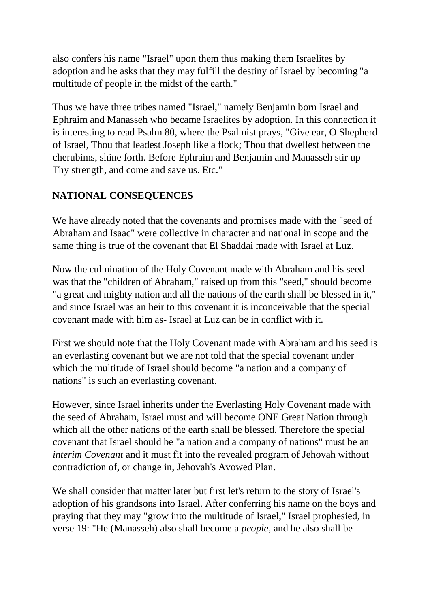also confers his name "Israel" upon them thus making them Israelites by adoption and he asks that they may fulfill the destiny of Israel by becoming "a multitude of people in the midst of the earth."

Thus we have three tribes named "Israel," namely Benjamin born Israel and Ephraim and Manasseh who became Israelites by adoption. In this connection it is interesting to read Psalm 80, where the Psalmist prays, "Give ear, O Shepherd of Israel, Thou that leadest Joseph like a flock; Thou that dwellest between the cherubims, shine forth. Before Ephraim and Benjamin and Manasseh stir up Thy strength, and come and save us. Etc."

# **NATIONAL CONSEQUENCES**

We have already noted that the covenants and promises made with the "seed of Abraham and Isaac" were collective in character and national in scope and the same thing is true of the covenant that El Shaddai made with Israel at Luz.

Now the culmination of the Holy Covenant made with Abraham and his seed was that the "children of Abraham," raised up from this "seed," should become "a great and mighty nation and all the nations of the earth shall be blessed in it," and since Israel was an heir to this covenant it is inconceivable that the special covenant made with him as- Israel at Luz can be in conflict with it.

First we should note that the Holy Covenant made with Abraham and his seed is an everlasting covenant but we are not told that the special covenant under which the multitude of Israel should become "a nation and a company of nations" is such an everlasting covenant.

However, since Israel inherits under the Everlasting Holy Covenant made with the seed of Abraham, Israel must and will become ONE Great Nation through which all the other nations of the earth shall be blessed. Therefore the special covenant that Israel should be "a nation and a company of nations" must be an *interim Covenant* and it must fit into the revealed program of Jehovah without contradiction of, or change in, Jehovah's Avowed Plan.

We shall consider that matter later but first let's return to the story of Israel's adoption of his grandsons into Israel. After conferring his name on the boys and praying that they may "grow into the multitude of Israel," Israel prophesied, in verse 19: "He (Manasseh) also shall become a *people,* and he also shall be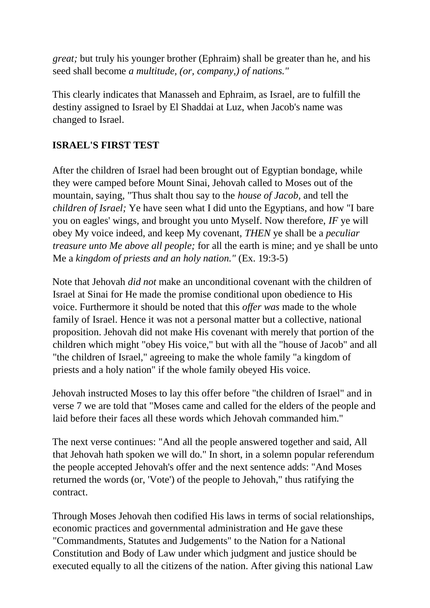*great;* but truly his younger brother (Ephraim) shall be greater than he, and his seed shall become *a multitude, (or, company,) of nations."*

This clearly indicates that Manasseh and Ephraim, as Israel, are to fulfill the destiny assigned to Israel by El Shaddai at Luz, when Jacob's name was changed to Israel.

## **ISRAEL'S FIRST TEST**

After the children of Israel had been brought out of Egyptian bondage, while they were camped before Mount Sinai, Jehovah called to Moses out of the mountain, saying, "Thus shalt thou say to the *house of Jacob,* and tell the *children of Israel;* Ye have seen what I did unto the Egyptians, and how "I bare you on eagles' wings, and brought you unto Myself. Now therefore, *IF* ye will obey My voice indeed, and keep My covenant, *THEN* ye shall be a *peculiar treasure unto Me above all people;* for all the earth is mine; and ye shall be unto Me a *kingdom of priests and an holy nation."* (Ex. 19:3-5)

Note that Jehovah *did not* make an unconditional covenant with the children of Israel at Sinai for He made the promise conditional upon obedience to His voice. Furthermore it should be noted that this *offer was* made to the whole family of Israel. Hence it was not a personal matter but a collective, national proposition. Jehovah did not make His covenant with merely that portion of the children which might "obey His voice," but with all the "house of Jacob" and all "the children of Israel," agreeing to make the whole family "a kingdom of priests and a holy nation" if the whole family obeyed His voice.

Jehovah instructed Moses to lay this offer before "the children of Israel" and in verse 7 we are told that "Moses came and called for the elders of the people and laid before their faces all these words which Jehovah commanded him."

The next verse continues: "And all the people answered together and said, All that Jehovah hath spoken we will do." In short, in a solemn popular referendum the people accepted Jehovah's offer and the next sentence adds: "And Moses returned the words (or, 'Vote') of the people to Jehovah," thus ratifying the contract.

Through Moses Jehovah then codified His laws in terms of social relationships, economic practices and governmental administration and He gave these "Commandments, Statutes and Judgements" to the Nation for a National Constitution and Body of Law under which judgment and justice should be executed equally to all the citizens of the nation. After giving this national Law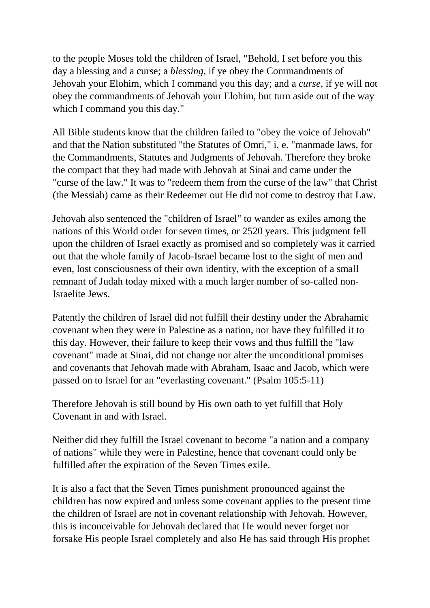to the people Moses told the children of Israel, "Behold, I set before you this day a blessing and a curse; a *blessing,* if ye obey the Commandments of Jehovah your Elohim, which I command you this day; and a *curse,* if ye will not obey the commandments of Jehovah your Elohim, but turn aside out of the way which I command you this day."

All Bible students know that the children failed to "obey the voice of Jehovah" and that the Nation substituted "the Statutes of Omri," i. e. "manmade laws, for the Commandments, Statutes and Judgments of Jehovah. Therefore they broke the compact that they had made with Jehovah at Sinai and came under the "curse of the law." It was to "redeem them from the curse of the law" that Christ (the Messiah) came as their Redeemer out He did not come to destroy that Law.

Jehovah also sentenced the "children of Israel" to wander as exiles among the nations of this World order for seven times, or 2520 years. This judgment fell upon the children of Israel exactly as promised and so completely was it carried out that the whole family of Jacob-Israel became lost to the sight of men and even, lost consciousness of their own identity, with the exception of a small remnant of Judah today mixed with a much larger number of so-called non-Israelite Jews.

Patently the children of Israel did not fulfill their destiny under the Abrahamic covenant when they were in Palestine as a nation, nor have they fulfilled it to this day. However, their failure to keep their vows and thus fulfill the "law covenant" made at Sinai, did not change nor alter the unconditional promises and covenants that Jehovah made with Abraham, Isaac and Jacob, which were passed on to Israel for an "everlasting covenant." (Psalm 105:5-11)

Therefore Jehovah is still bound by His own oath to yet fulfill that Holy Covenant in and with Israel.

Neither did they fulfill the Israel covenant to become "a nation and a company of nations" while they were in Palestine, hence that covenant could only be fulfilled after the expiration of the Seven Times exile.

It is also a fact that the Seven Times punishment pronounced against the children has now expired and unless some covenant applies to the present time the children of Israel are not in covenant relationship with Jehovah. However, this is inconceivable for Jehovah declared that He would never forget nor forsake His people Israel completely and also He has said through His prophet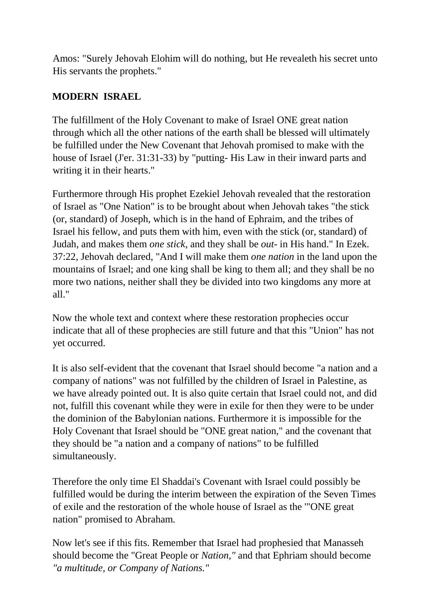Amos: "Surely Jehovah Elohim will do nothing, but He revealeth his secret unto His servants the prophets."

# **MODERN ISRAEL**

The fulfillment of the Holy Covenant to make of Israel ONE great nation through which all the other nations of the earth shall be blessed will ultimately be fulfilled under the New Covenant that Jehovah promised to make with the house of Israel (J'er. 31:31-33) by "putting- His Law in their inward parts and writing it in their hearts."

Furthermore through His prophet Ezekiel Jehovah revealed that the restoration of Israel as "One Nation" is to be brought about when Jehovah takes "the stick (or, standard) of Joseph, which is in the hand of Ephraim, and the tribes of Israel his fellow, and puts them with him, even with the stick (or, standard) of Judah, and makes them *one stick,* and they shall be *out-* in His hand." In Ezek. 37:22, Jehovah declared, "And I will make them *one nation* in the land upon the mountains of Israel; and one king shall be king to them all; and they shall be no more two nations, neither shall they be divided into two kingdoms any more at all $"$ 

Now the whole text and context where these restoration prophecies occur indicate that all of these prophecies are still future and that this "Union" has not yet occurred.

It is also self-evident that the covenant that Israel should become "a nation and a company of nations" was not fulfilled by the children of Israel in Palestine, as we have already pointed out. It is also quite certain that Israel could not, and did not, fulfill this covenant while they were in exile for then they were to be under the dominion of the Babylonian nations. Furthermore it is impossible for the Holy Covenant that Israel should be "ONE great nation," and the covenant that they should be "a nation and a company of nations" to be fulfilled simultaneously.

Therefore the only time El Shaddai's Covenant with Israel could possibly be fulfilled would be during the interim between the expiration of the Seven Times of exile and the restoration of the whole house of Israel as the '"ONE great nation" promised to Abraham.

Now let's see if this fits. Remember that Israel had prophesied that Manasseh should become the "Great People or *Nation,"* and that Ephriam should become *"a multitude, or Company of Nations."*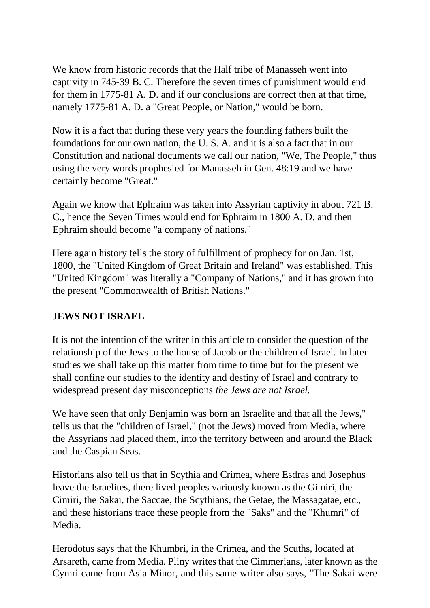We know from historic records that the Half tribe of Manasseh went into captivity in 745-39 B. C. Therefore the seven times of punishment would end for them in 1775-81 A. D. and if our conclusions are correct then at that time, namely 1775-81 A. D. a "Great People, or Nation," would be born.

Now it is a fact that during these very years the founding fathers built the foundations for our own nation, the U. S. A. and it is also a fact that in our Constitution and national documents we call our nation, "We, The People," thus using the very words prophesied for Manasseh in Gen. 48:19 and we have certainly become "Great."

Again we know that Ephraim was taken into Assyrian captivity in about 721 B. C., hence the Seven Times would end for Ephraim in 1800 A. D. and then Ephraim should become "a company of nations."

Here again history tells the story of fulfillment of prophecy for on Jan. 1st, 1800, the "United Kingdom of Great Britain and Ireland" was established. This "United Kingdom" was literally a "Company of Nations," and it has grown into the present "Commonwealth of British Nations."

#### **JEWS NOT ISRAEL**

It is not the intention of the writer in this article to consider the question of the relationship of the Jews to the house of Jacob or the children of Israel. In later studies we shall take up this matter from time to time but for the present we shall confine our studies to the identity and destiny of Israel and contrary to widespread present day misconceptions *the Jews are not Israel.*

We have seen that only Benjamin was born an Israelite and that all the Jews," tells us that the "children of Israel," (not the Jews) moved from Media, where the Assyrians had placed them, into the territory between and around the Black and the Caspian Seas.

Historians also tell us that in Scythia and Crimea, where Esdras and Josephus leave the Israelites, there lived peoples variously known as the Gimiri, the Cimiri, the Sakai, the Saccae, the Scythians, the Getae, the Massagatae, etc., and these historians trace these people from the "Saks" and the "Khumri" of Media.

Herodotus says that the Khumbri, in the Crimea, and the Scuths, located at Arsareth, came from Media. Pliny writes that the Cimmerians, later known as the Cymri came from Asia Minor, and this same writer also says, "The Sakai were